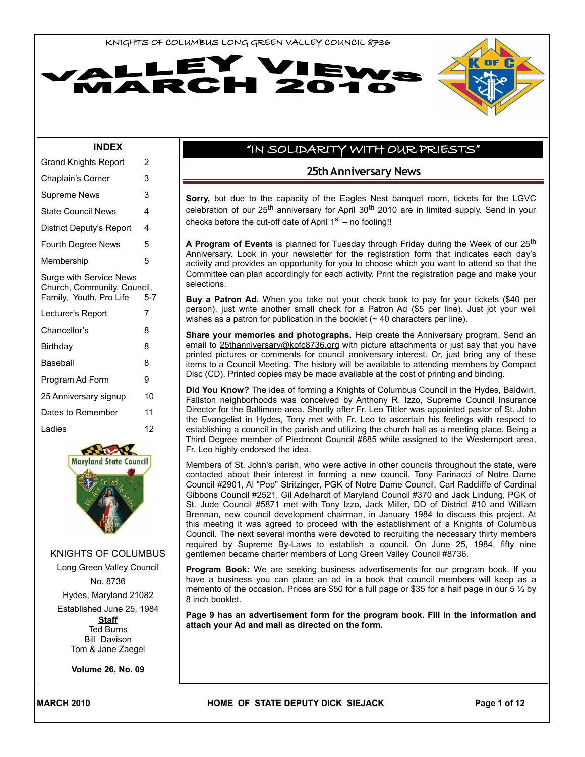



#### **INDEX**

| Grand Knights Report                                                              | 2   |  |  |  |
|-----------------------------------------------------------------------------------|-----|--|--|--|
| Chaplain's Corner                                                                 | 3   |  |  |  |
| <b>Supreme News</b>                                                               |     |  |  |  |
| <b>State Council News</b>                                                         | 4   |  |  |  |
| District Deputy's Report                                                          | 4   |  |  |  |
| Fourth Degree News                                                                | 5   |  |  |  |
| Membership                                                                        | 5   |  |  |  |
| Surge with Service News<br>Church, Community, Council,<br>Family, Youth, Pro Life | 5-7 |  |  |  |
| Lecturer's Report                                                                 | 7   |  |  |  |
| Chancellor's                                                                      | 8   |  |  |  |
| Birthday                                                                          | 8   |  |  |  |
| Baseball                                                                          | 8   |  |  |  |
| Program Ad Form                                                                   | 9   |  |  |  |
| 25 Anniversary signup                                                             | 10  |  |  |  |
| Dates to Remember                                                                 | 11  |  |  |  |
| Ladies                                                                            | 12  |  |  |  |



KNIGHTS OF COLUMBUS

Long Green Valley Council No. 8736

Hydes, Maryland 21082

Established June 25, 1984

**Staff** Ted Burns Bill Davison Tom & Jane Zaegel

**Volume 26, No. 09**

## "IN SOLIDARITY WITH OUR PRIESTS"

#### **25th Anniversary News**

**Sorry,** but due to the capacity of the Eagles Nest banquet room, tickets for the LGVC celebration of our  $25<sup>th</sup>$  anniversary for April  $30<sup>th</sup>$  2010 are in limited supply. Send in your checks before the cut-off date of April  $1<sup>st</sup>$  – no fooling!!

A Program of Events is planned for Tuesday through Friday during the Week of our 25<sup>th</sup> Anniversary. Look in your newsletter for the registration form that indicates each day's activity and provides an opportunity for you to choose which you want to attend so that the Committee can plan accordingly for each activity. Print the registration page and make your selections.

**Buy a Patron Ad.** When you take out your check book to pay for your tickets (\$40 per person), just write another small check for a Patron Ad (\$5 per line). Just jot your well wishes as a patron for publication in the booklet  $($   $\sim$  40 characters per line).

**Share your memories and photographs.** Help create the Anniversary program. Send an email to [25thanniversary@kofc8736.org](mailto:25thanniversary@kofc8736.org) with picture attachments or just say that you have printed pictures or comments for council anniversary interest. Or, just bring any of these items to a Council Meeting. The history will be available to attending members by Compact Disc (CD). Printed copies may be made available at the cost of printing and binding.

**Did You Know?** The idea of forming a Knights of Columbus Council in the Hydes, Baldwin, Fallston neighborhoods was conceived by Anthony R. Izzo, Supreme Council Insurance Director for the Baltimore area. Shortly after Fr. Leo Tittler was appointed pastor of St. John the Evangelist in Hydes, Tony met with Fr. Leo to ascertain his feelings with respect to establishing a council in the parish and utilizing the church hall as a meeting place. Being a Third Degree member of Piedmont Council #685 while assigned to the Westernport area, Fr. Leo highly endorsed the idea.

Members of St. John's parish, who were active in other councils throughout the state, were contacted about their interest in forming a new council. Tony Farinacci of Notre Dame Council #2901, Al "Pop" Stritzinger, PGK of Notre Dame Council, Carl Radcliffe of Cardinal Gibbons Council #2521, Gil Adelhardt of Maryland Council #370 and Jack Lindung, PGK of St. Jude Council #5871 met with Tony Izzo, Jack Miller, DD of District #10 and William Brennan, new council development chairman, in January 1984 to discuss this project. At this meeting it was agreed to proceed with the establishment of a Knights of Columbus Council. The next several months were devoted to recruiting the necessary thirty members required by Supreme By-Laws to establish a council. On June 25, 1984, fifty nine gentlemen became charter members of Long Green Valley Council #8736.

**Program Book:** We are seeking business advertisements for our program book. If you have a business you can place an ad in a book that council members will keep as a memento of the occasion. Prices are \$50 for a full page or \$35 for a half page in our 5 ½ by 8 inch booklet.

**Page 9 has an advertisement form for the program book. Fill in the information and attach your Ad and mail as directed on the form.**

MARCH 2010 **MARCH 2010 HOME OF STATE DEPUTY DICK SIEJACK** Page 1 of 12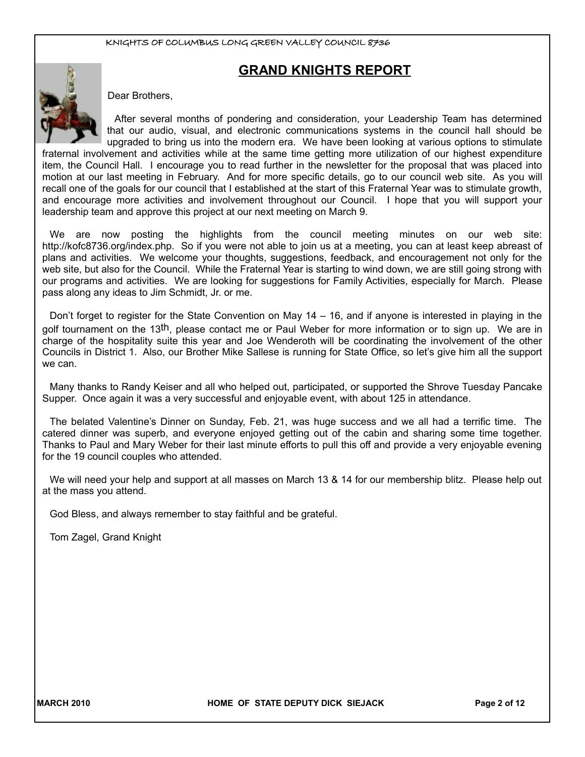# **GRAND KNIGHTS REPORT**



Dear Brothers,

After several months of pondering and consideration, your Leadership Team has determined that our audio, visual, and electronic communications systems in the council hall should be upgraded to bring us into the modern era. We have been looking at various options to stimulate

fraternal involvement and activities while at the same time getting more utilization of our highest expenditure item, the Council Hall. I encourage you to read further in the newsletter for the proposal that was placed into motion at our last meeting in February. And for more specific details, go to our council web site. As you will recall one of the goals for our council that I established at the start of this Fraternal Year was to stimulate growth, and encourage more activities and involvement throughout our Council. I hope that you will support your leadership team and approve this project at our next meeting on March 9.

We are now posting the highlights from the council meeting minutes on our web site: http://kofc8736.org/index.php. So if you were not able to join us at a meeting, you can at least keep abreast of plans and activities. We welcome your thoughts, suggestions, feedback, and encouragement not only for the web site, but also for the Council. While the Fraternal Year is starting to wind down, we are still going strong with our programs and activities. We are looking for suggestions for Family Activities, especially for March. Please pass along any ideas to Jim Schmidt, Jr. or me.

Don't forget to register for the State Convention on May 14 – 16, and if anyone is interested in playing in the golf tournament on the 13<sup>th</sup>, please contact me or Paul Weber for more information or to sign up. We are in charge of the hospitality suite this year and Joe Wenderoth will be coordinating the involvement of the other Councils in District 1. Also, our Brother Mike Sallese is running for State Office, so let's give him all the support we can.

Many thanks to Randy Keiser and all who helped out, participated, or supported the Shrove Tuesday Pancake Supper. Once again it was a very successful and enjoyable event, with about 125 in attendance.

The belated Valentine's Dinner on Sunday, Feb. 21, was huge success and we all had a terrific time. The catered dinner was superb, and everyone enjoyed getting out of the cabin and sharing some time together. Thanks to Paul and Mary Weber for their last minute efforts to pull this off and provide a very enjoyable evening for the 19 council couples who attended.

We will need your help and support at all masses on March 13 & 14 for our membership blitz. Please help out at the mass you attend.

God Bless, and always remember to stay faithful and be grateful.

Tom Zagel, Grand Knight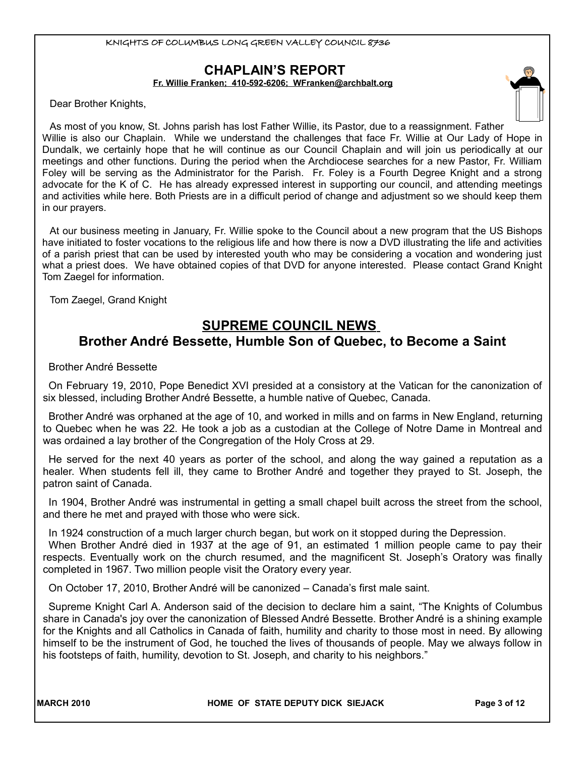# **CHAPLAIN'S REPORT**

**Fr. Willie Franken; 410-592-6206; [WFranken@archbalt.org](mailto:WFranken@archbalt.org)**

Dear Brother Knights,

As most of you know, St. Johns parish has lost Father Willie, its Pastor, due to a reassignment. Father Willie is also our Chaplain. While we understand the challenges that face Fr. Willie at Our Lady of Hope in Dundalk, we certainly hope that he will continue as our Council Chaplain and will join us periodically at our meetings and other functions. During the period when the Archdiocese searches for a new Pastor, Fr. William Foley will be serving as the Administrator for the Parish. Fr. Foley is a Fourth Degree Knight and a strong advocate for the K of C. He has already expressed interest in supporting our council, and attending meetings and activities while here. Both Priests are in a difficult period of change and adjustment so we should keep them in our prayers.

At our business meeting in January, Fr. Willie spoke to the Council about a new program that the US Bishops have initiated to foster vocations to the religious life and how there is now a DVD illustrating the life and activities of a parish priest that can be used by interested youth who may be considering a vocation and wondering just what a priest does. We have obtained copies of that DVD for anyone interested. Please contact Grand Knight Tom Zaegel for information.

Tom Zaegel, Grand Knight

# **SUPREME COUNCIL NEWS Brother André Bessette, Humble Son of Quebec, to Become a Saint**

Brother André Bessette

On February 19, 2010, Pope Benedict XVI presided at a consistory at the Vatican for the canonization of six blessed, including Brother André Bessette, a humble native of Quebec, Canada.

Brother André was orphaned at the age of 10, and worked in mills and on farms in New England, returning to Quebec when he was 22. He took a job as a custodian at the College of Notre Dame in Montreal and was ordained a lay brother of the Congregation of the Holy Cross at 29.

He served for the next 40 years as porter of the school, and along the way gained a reputation as a healer. When students fell ill, they came to Brother André and together they prayed to St. Joseph, the patron saint of Canada.

In 1904, Brother André was instrumental in getting a small chapel built across the street from the school, and there he met and prayed with those who were sick.

In 1924 construction of a much larger church began, but work on it stopped during the Depression. When Brother André died in 1937 at the age of 91, an estimated 1 million people came to pay their respects. Eventually work on the church resumed, and the magnificent St. Joseph's Oratory was finally completed in 1967. Two million people visit the Oratory every year.

On October 17, 2010, Brother André will be canonized – Canada's first male saint.

Supreme Knight Carl A. Anderson said of the decision to declare him a saint, "The Knights of Columbus share in Canada's joy over the canonization of Blessed André Bessette. Brother André is a shining example for the Knights and all Catholics in Canada of faith, humility and charity to those most in need. By allowing himself to be the instrument of God, he touched the lives of thousands of people. May we always follow in his footsteps of faith, humility, devotion to St. Joseph, and charity to his neighbors."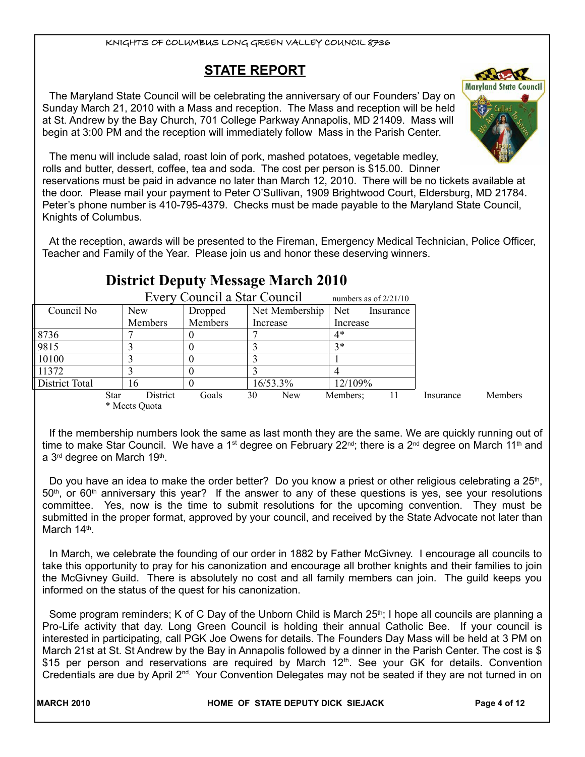# **STATE REPORT**

The Maryland State Council will be celebrating the anniversary of our Founders' Day on Sunday March 21, 2010 with a Mass and reception. The Mass and reception will be held at St. Andrew by the Bay Church, 701 College Parkway Annapolis, MD 21409. Mass will begin at 3:00 PM and the reception will immediately follow Mass in the Parish Center.



The menu will include salad, roast loin of pork, mashed potatoes, vegetable medley, rolls and butter, dessert, coffee, tea and soda. The cost per person is \$15.00. Dinner reservations must be paid in advance no later than March 12, 2010. There will be no tickets available at the door. Please mail your payment to Peter O'Sullivan, 1909 Brightwood Court, Eldersburg, MD 21784. Peter's phone number is 410-795-4379. Checks must be made payable to the Maryland State Council, Knights of Columbus.

At the reception, awards will be presented to the Fireman, Emergency Medical Technician, Police Officer, Teacher and Family of the Year. Please join us and honor these deserving winners.

# **District Deputy Message March 2010**

| Every Council a Star Council<br>numbers as of $2/21/10$ |             |               |         |    |                |          |           |           |                |
|---------------------------------------------------------|-------------|---------------|---------|----|----------------|----------|-----------|-----------|----------------|
| Council No                                              |             | <b>New</b>    | Dropped |    | Net Membership | Net      | Insurance |           |                |
|                                                         |             | Members       | Members |    | Increase       | Increase |           |           |                |
| 8736                                                    |             |               |         |    |                | $4*$     |           |           |                |
| 9815                                                    |             |               |         |    |                | $3*$     |           |           |                |
| 10100                                                   |             |               |         |    |                |          |           |           |                |
| 11372                                                   |             |               |         |    |                |          |           |           |                |
| <b>District Total</b>                                   |             | 16            |         |    | 16/53.3%       | 12/109%  |           |           |                |
|                                                         | <b>Star</b> | District      | Goals   | 30 | New            | Members; | 11        | Insurance | <b>Members</b> |
|                                                         |             | * Meets Quota |         |    |                |          |           |           |                |

If the membership numbers look the same as last month they are the same. We are quickly running out of time to make Star Council. We have a 1<sup>st</sup> degree on February 22<sup>nd</sup>; there is a 2<sup>nd</sup> degree on March 11<sup>th</sup> and a 3<sup>rd</sup> degree on March 19<sup>th</sup>.

Do you have an idea to make the order better? Do you know a priest or other religious celebrating a 25<sup>th</sup>,  $50<sup>th</sup>$ , or 60<sup>th</sup> anniversary this year? If the answer to any of these questions is yes, see your resolutions committee. Yes, now is the time to submit resolutions for the upcoming convention. They must be submitted in the proper format, approved by your council, and received by the State Advocate not later than March 14<sup>th</sup>.

In March, we celebrate the founding of our order in 1882 by Father McGivney. I encourage all councils to take this opportunity to pray for his canonization and encourage all brother knights and their families to join the McGivney Guild. There is absolutely no cost and all family members can join. The guild keeps you informed on the status of the quest for his canonization.

Some program reminders; K of C Day of the Unborn Child is March 25<sup>th</sup>; I hope all councils are planning a Pro-Life activity that day. Long Green Council is holding their annual Catholic Bee. If your council is interested in participating, call PGK Joe Owens for details. The Founders Day Mass will be held at 3 PM on March 21st at St. St Andrew by the Bay in Annapolis followed by a dinner in the Parish Center. The cost is \$ \$15 per person and reservations are required by March  $12<sup>th</sup>$ . See your GK for details. Convention Credentials are due by April  $2<sup>nd</sup>$ . Your Convention Delegates may not be seated if they are not turned in on

MARCH 2010 **MARCH 2010 HOME OF STATE DEPUTY DICK SIEJACK Page 4 of 12**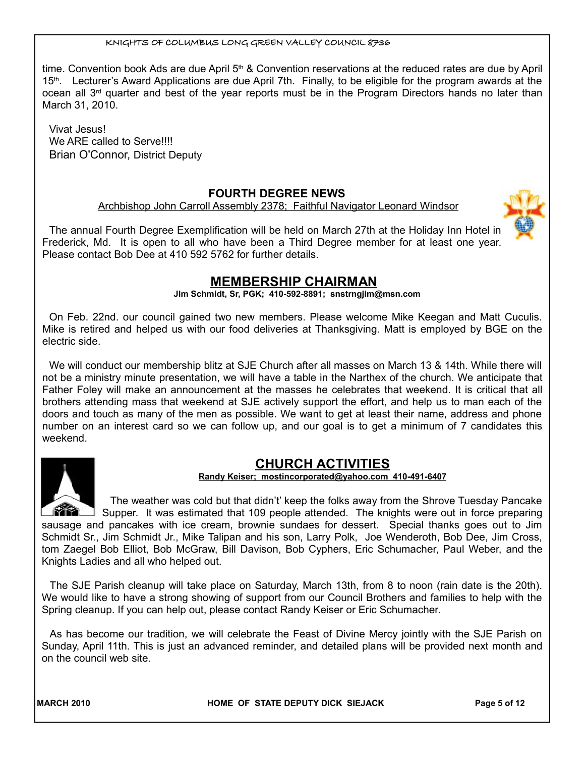time. Convention book Ads are due April 5<sup>th</sup> & Convention reservations at the reduced rates are due by April 15<sup>th</sup>. Lecturer's Award Applications are due April 7th. Finally, to be eligible for the program awards at the ocean all 3<sup>rd</sup> quarter and best of the year reports must be in the Program Directors hands no later than March 31, 2010.

Vivat Jesus! We ARE called to Serve!!!! Brian O'Connor, District Deputy

#### **FOURTH DEGREE NEWS**

Archbishop John Carroll Assembly 2378; Faithful Navigator Leonard Windsor

The annual Fourth Degree Exemplification will be held on March 27th at the Holiday Inn Hotel in Frederick, Md. It is open to all who have been a Third Degree member for at least one year. Please contact Bob Dee at 410 592 5762 for further details.

# **MEMBERSHIP CHAIRMAN**

**Jim Schmidt, Sr, PGK; 410-592-8891; snstrngjim@msn.com**

On Feb. 22nd. our council gained two new members. Please welcome Mike Keegan and Matt Cuculis. Mike is retired and helped us with our food deliveries at Thanksgiving. Matt is employed by BGE on the electric side.

We will conduct our membership blitz at SJE Church after all masses on March 13 & 14th. While there will not be a ministry minute presentation, we will have a table in the Narthex of the church. We anticipate that Father Foley will make an announcement at the masses he celebrates that weekend. It is critical that all brothers attending mass that weekend at SJE actively support the effort, and help us to man each of the doors and touch as many of the men as possible. We want to get at least their name, address and phone number on an interest card so we can follow up, and our goal is to get a minimum of 7 candidates this weekend.

# **CHURCH ACTIVITIES**

 **Randy Keiser; [mostincorporated@yahoo.com](mailto:mostincorporated@yahoo.com) 410-491-6407**

The weather was cold but that didn't' keep the folks away from the Shrove Tuesday Pancake Supper. It was estimated that 109 people attended. The knights were out in force preparing sausage and pancakes with ice cream, brownie sundaes for dessert. Special thanks goes out to Jim Schmidt Sr., Jim Schmidt Jr., Mike Talipan and his son, Larry Polk, Joe Wenderoth, Bob Dee, Jim Cross, tom Zaegel Bob Elliot, Bob McGraw, Bill Davison, Bob Cyphers, Eric Schumacher, Paul Weber, and the Knights Ladies and all who helped out.

The SJE Parish cleanup will take place on Saturday, March 13th, from 8 to noon (rain date is the 20th). We would like to have a strong showing of support from our Council Brothers and families to help with the Spring cleanup. If you can help out, please contact Randy Keiser or Eric Schumacher.

As has become our tradition, we will celebrate the Feast of Divine Mercy jointly with the SJE Parish on Sunday, April 11th. This is just an advanced reminder, and detailed plans will be provided next month and on the council web site.

MARCH 2010 **MARCH 2010 HOME OF STATE DEPUTY DICK SIEJACK Page 5 of 12** 



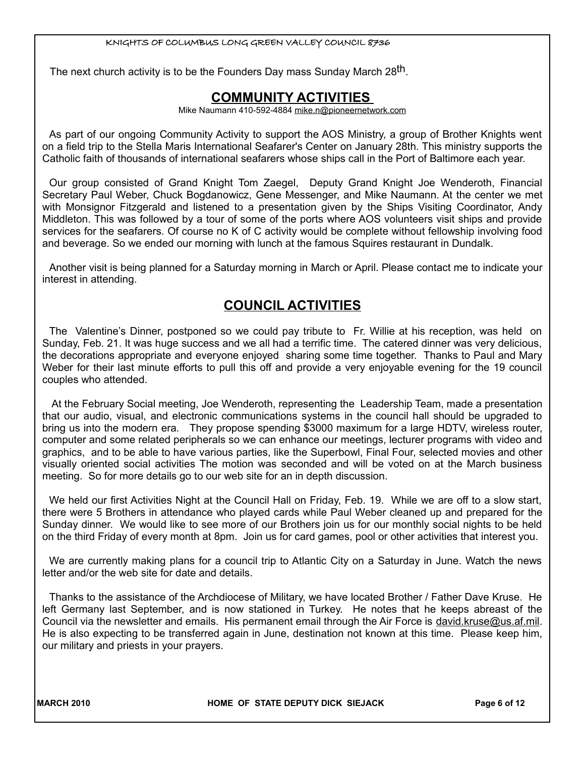The next church activity is to be the Founders Day mass Sunday March 28<sup>th</sup>.

# **COMMUNITY ACTIVITIES**

Mike Naumann 410-592-4884 mike.n@pioneernetwork.com

As part of our ongoing Community Activity to support the AOS Ministry, a group of Brother Knights went on a field trip to the Stella Maris International Seafarer's Center on January 28th. This ministry supports the Catholic faith of thousands of international seafarers whose ships call in the Port of Baltimore each year.

Our group consisted of Grand Knight Tom Zaegel, Deputy Grand Knight Joe Wenderoth, Financial Secretary Paul Weber, Chuck Bogdanowicz, Gene Messenger, and Mike Naumann. At the center we met with Monsignor Fitzgerald and listened to a presentation given by the Ships Visiting Coordinator, Andy Middleton. This was followed by a tour of some of the ports where AOS volunteers visit ships and provide services for the seafarers. Of course no K of C activity would be complete without fellowship involving food and beverage. So we ended our morning with lunch at the famous Squires restaurant in Dundalk.

Another visit is being planned for a Saturday morning in March or April. Please contact me to indicate your interest in attending.

# **COUNCIL ACTIVITIES**

The Valentine's Dinner, postponed so we could pay tribute to Fr. Willie at his reception, was held on Sunday, Feb. 21. It was huge success and we all had a terrific time. The catered dinner was very delicious, the decorations appropriate and everyone enjoyed sharing some time together. Thanks to Paul and Mary Weber for their last minute efforts to pull this off and provide a very enjoyable evening for the 19 council couples who attended.

 At the February Social meeting, Joe Wenderoth, representing the Leadership Team, made a presentation that our audio, visual, and electronic communications systems in the council hall should be upgraded to bring us into the modern era. They propose spending \$3000 maximum for a large HDTV, wireless router, computer and some related peripherals so we can enhance our meetings, lecturer programs with video and graphics, and to be able to have various parties, like the Superbowl, Final Four, selected movies and other visually oriented social activities The motion was seconded and will be voted on at the March business meeting. So for more details go to our web site for an in depth discussion.

We held our first Activities Night at the Council Hall on Friday, Feb. 19. While we are off to a slow start, there were 5 Brothers in attendance who played cards while Paul Weber cleaned up and prepared for the Sunday dinner. We would like to see more of our Brothers join us for our monthly social nights to be held on the third Friday of every month at 8pm. Join us for card games, pool or other activities that interest you.

We are currently making plans for a council trip to Atlantic City on a Saturday in June. Watch the news letter and/or the web site for date and details.

Thanks to the assistance of the Archdiocese of Military, we have located Brother / Father Dave Kruse. He left Germany last September, and is now stationed in Turkey. He notes that he keeps abreast of the Council via the newsletter and emails. His permanent email through the Air Force is david.kruse@us.af.mil. He is also expecting to be transferred again in June, destination not known at this time. Please keep him, our military and priests in your prayers.

MARCH 2010 **MARCH 2010 HOME OF STATE DEPUTY DICK SIEJACK Page 6 of 12**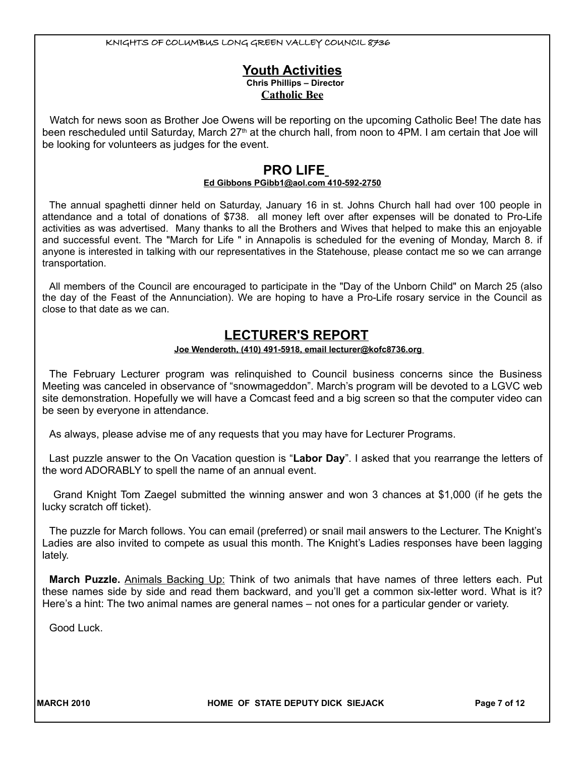#### **Youth Activities Chris Phillips – Director Catholic Bee**

Watch for news soon as Brother Joe Owens will be reporting on the upcoming Catholic Bee! The date has been rescheduled until Saturday, March 27<sup>th</sup> at the church hall, from noon to 4PM. I am certain that Joe will be looking for volunteers as judges for the event.

# **PRO LIFE**

#### **Ed Gibbons PGibb1@aol.com 410-592-2750**

The annual spaghetti dinner held on Saturday, January 16 in st. Johns Church hall had over 100 people in attendance and a total of donations of \$738. all money left over after expenses will be donated to Pro-Life activities as was advertised. Many thanks to all the Brothers and Wives that helped to make this an enjoyable and successful event. The "March for Life " in Annapolis is scheduled for the evening of Monday, March 8. if anyone is interested in talking with our representatives in the Statehouse, please contact me so we can arrange transportation.

All members of the Council are encouraged to participate in the "Day of the Unborn Child" on March 25 (also the day of the Feast of the Annunciation). We are hoping to have a Pro-Life rosary service in the Council as close to that date as we can.

# **LECTURER'S REPORT**

#### **Joe Wenderoth, (410) 491-5918, email lecturer@kofc8736.org**

The February Lecturer program was relinquished to Council business concerns since the Business Meeting was canceled in observance of "snowmageddon". March's program will be devoted to a LGVC web site demonstration. Hopefully we will have a Comcast feed and a big screen so that the computer video can be seen by everyone in attendance.

As always, please advise me of any requests that you may have for Lecturer Programs.

Last puzzle answer to the On Vacation question is "**Labor Day**". I asked that you rearrange the letters of the word ADORABLY to spell the name of an annual event.

 Grand Knight Tom Zaegel submitted the winning answer and won 3 chances at \$1,000 (if he gets the lucky scratch off ticket).

The puzzle for March follows. You can email (preferred) or snail mail answers to the Lecturer. The Knight's Ladies are also invited to compete as usual this month. The Knight's Ladies responses have been lagging lately.

**March Puzzle.** Animals Backing Up: Think of two animals that have names of three letters each. Put these names side by side and read them backward, and you'll get a common six-letter word. What is it? Here's a hint: The two animal names are general names – not ones for a particular gender or variety.

Good Luck.

MARCH 2010 **MARCH 2010 HOME OF STATE DEPUTY DICK SIEJACK Page 7** of 12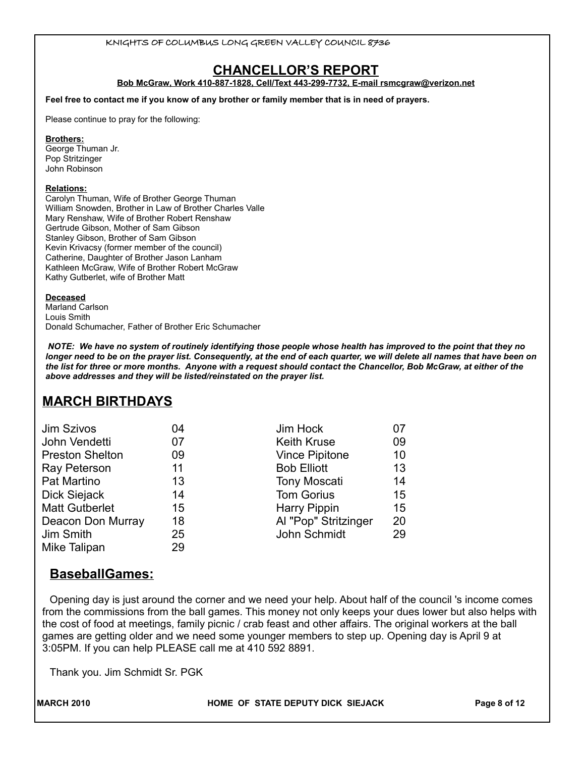# **CHANCELLOR'S REPORT**

**Bob McGraw, Work 410-887-1828, Cell/Text 443-299-7732, E-mail rsmcgraw@verizon.net**

**Feel free to contact me if you know of any brother or family member that is in need of prayers.** 

Please continue to pray for the following:

#### **Brothers:**

George Thuman Jr. Pop Stritzinger John Robinson

#### **Relations:**

Carolyn Thuman, Wife of Brother George Thuman William Snowden, Brother in Law of Brother Charles Valle Mary Renshaw, Wife of Brother Robert Renshaw Gertrude Gibson, Mother of Sam Gibson Stanley Gibson, Brother of Sam Gibson Kevin Krivacsy (former member of the council) Catherine, Daughter of Brother Jason Lanham Kathleen McGraw, Wife of Brother Robert McGraw Kathy Gutberlet, wife of Brother Matt

#### **Deceased**

Marland Carlson Louis Smith Donald Schumacher, Father of Brother Eric Schumacher

*NOTE: We have no system of routinely identifying those people whose health has improved to the point that they no longer need to be on the prayer list. Consequently, at the end of each quarter, we will delete all names that have been on the list for three or more months. Anyone with a request should contact the Chancellor, Bob McGraw, at either of the above addresses and they will be listed/reinstated on the prayer list.* 

# **MARCH BIRTHDAYS**

| Jim Szivos             | 04 | Jim Hock              | 07 |
|------------------------|----|-----------------------|----|
| John Vendetti          | 07 | <b>Keith Kruse</b>    | 09 |
| <b>Preston Shelton</b> | 09 | <b>Vince Pipitone</b> | 10 |
| Ray Peterson           | 11 | <b>Bob Elliott</b>    | 13 |
| Pat Martino            | 13 | <b>Tony Moscati</b>   | 14 |
| Dick Siejack           | 14 | <b>Tom Gorius</b>     | 15 |
| <b>Matt Gutberlet</b>  | 15 | <b>Harry Pippin</b>   | 15 |
| Deacon Don Murray      | 18 | Al "Pop" Stritzinger  | 20 |
| Jim Smith              | 25 | John Schmidt          | 29 |
| Mike Talipan           | 29 |                       |    |

## **BaseballGames:**

Opening day is just around the corner and we need your help. About half of the council 's income comes from the commissions from the ball games. This money not only keeps your dues lower but also helps with the cost of food at meetings, family picnic / crab feast and other affairs. The original workers at the ball games are getting older and we need some younger members to step up. Opening day is April 9 at 3:05PM. If you can help PLEASE call me at 410 592 8891.

Thank you. Jim Schmidt Sr. PGK

**MARCH 2010 HOME OF STATE DEPUTY DICK SIEJACK Page 8 of 12**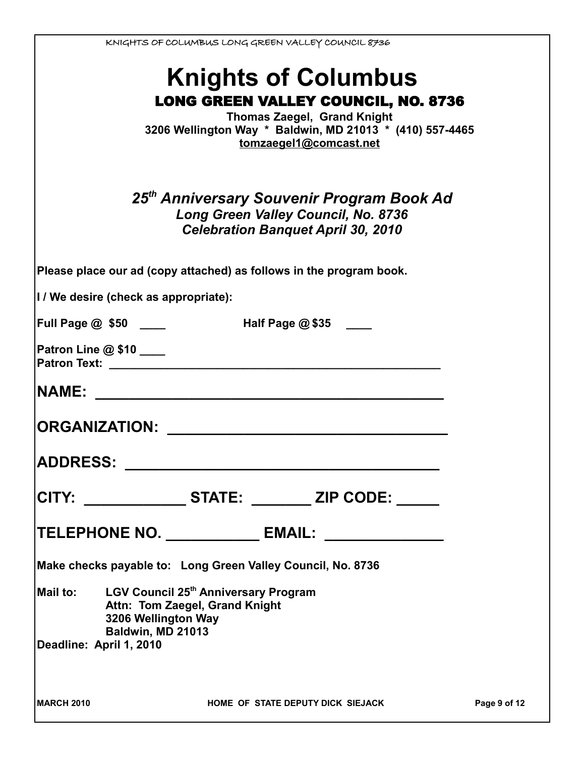| KNIGHTS OF COLUMBUS LONG GREEN VALLEY COUNCIL 8736                  |              |
|---------------------------------------------------------------------|--------------|
| <b>Knights of Columbus</b>                                          |              |
| <b>LONG GREEN VALLEY COUNCIL, NO. 8736</b>                          |              |
| <b>Thomas Zaegel, Grand Knight</b>                                  |              |
| 3206 Wellington Way * Baldwin, MD 21013 * (410) 557-4465            |              |
| tomzaegel1@comcast.net                                              |              |
|                                                                     |              |
| 25 <sup>th</sup> Anniversary Souvenir Program Book Ad               |              |
| Long Green Valley Council, No. 8736                                 |              |
| <b>Celebration Banquet April 30, 2010</b>                           |              |
|                                                                     |              |
| Please place our ad (copy attached) as follows in the program book. |              |
| I / We desire (check as appropriate):                               |              |
| <b>Half Page @ \$35</b> ___<br>Full Page $@$ \$50 $\_\_$            |              |
| Patron Line @ \$10 ____                                             |              |
| <b>Patron Text: Example 2014</b>                                    |              |
| <b>NAME:</b>                                                        |              |
| <b>ORGANIZATION:</b>                                                |              |
|                                                                     |              |
| <b>ADDRESS:</b>                                                     |              |
|                                                                     |              |
| CITY: ________________ STATE: _________ ZIP CODE: ______            |              |
| TELEPHONE NO. ______________ EMAIL: _______________                 |              |
| Make checks payable to: Long Green Valley Council, No. 8736         |              |
| Mail to: LGV Council 25 <sup>th</sup> Anniversary Program           |              |
| Attn: Tom Zaegel, Grand Knight                                      |              |
| 3206 Wellington Way<br>Baldwin, MD 21013                            |              |
| Deadline: April 1, 2010                                             |              |
|                                                                     |              |
|                                                                     |              |
| MARCH 2010<br>HOME OF STATE DEPUTY DICK SIEJACK                     | Page 9 of 12 |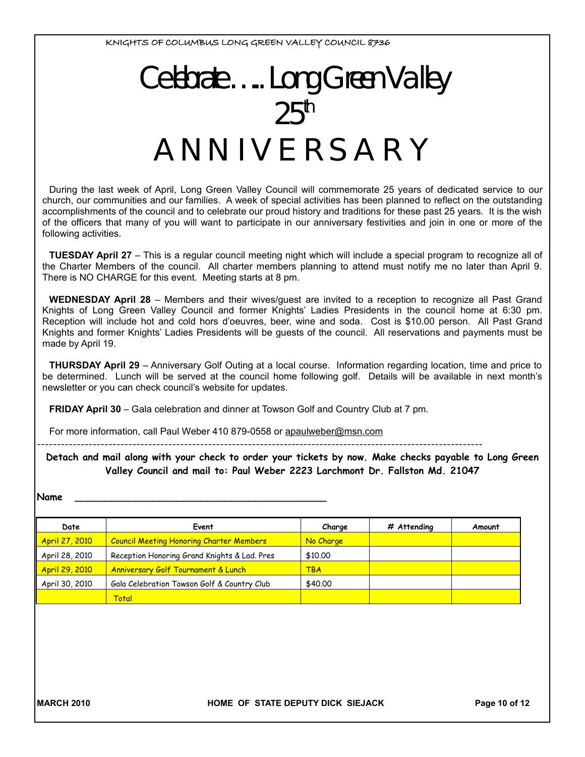# Celebrate....Long Green Valley  $25<sup>th</sup>$ A NN IV E RS A R Y

During the last week of April, Long Green Valley Council will commemorate 25 years of dedicated service to our church, our communities and our families. A week of special activities has been planned to reflect on the outstanding accomplishments of the council and to celebrate our proud history and traditions for these past 25 years. It is the wish of the officers that many of you will want to participate in our anniversary festivities and join in one or more of the following activities.

**TUESDAY April 27** – This is a regular council meeting night which will include a special program to recognize all of the Charter Members of the council. All charter members planning to attend must notify me no later than April 9. There is NO CHARGE for this event. Meeting starts at 8 pm.

**WEDNESDAY April 28** – Members and their wives/guest are invited to a reception to recognize all Past Grand Knights of Long Green Valley Council and former Knights' Ladies Presidents in the council home at 6:30 pm. Reception will include hot and cold hors d'oeuvres, beer, wine and soda. Cost is \$10.00 person. All Past Grand Knights and former Knights' Ladies Presidents will be guests of the council. All reservations and payments must be made by April 19.

**THURSDAY April 29** – Anniversary Golf Outing at a local course. Information regarding location, time and price to be determined. Lunch will be served at the council home following golf. Details will be available in next month's newsletter or you can check council's website for updates.

**FRIDAY April 30** – Gala celebration and dinner at Towson Golf and Country Club at 7 pm.

For more information, call Paul Weber 410 879-0558 or apaulweber@msn.com

----------------------------------------------------------------------------------------------------------------

#### **Detach and mail along with your check to order your tickets by now. Make checks payable to Long Green Valley Council and mail to: Paul Weber 2223 Larchmont Dr. Fallston Md. 21047**

#### **Name \_\_\_\_\_\_\_\_\_\_\_\_\_\_\_\_\_\_\_\_\_\_\_\_\_\_\_\_\_\_\_\_\_\_\_\_\_\_\_\_\_\_**

| Date                  | Event                                           | Charge     | # Attending | Amount |
|-----------------------|-------------------------------------------------|------------|-------------|--------|
| <b>April 27, 2010</b> | <b>Council Meeting Honoring Charter Members</b> | No Charge  |             |        |
| April 28, 2010        | Reception Honoring Grand Knights & Lad. Pres    | \$10,00    |             |        |
| <b>April 29, 2010</b> | <b>Anniversary Golf Tournament &amp; Lunch</b>  | <b>TBA</b> |             |        |
| April 30, 2010        | Gala Celebration Towson Golf & Country Club     | \$40.00    |             |        |
|                       | Total                                           |            |             |        |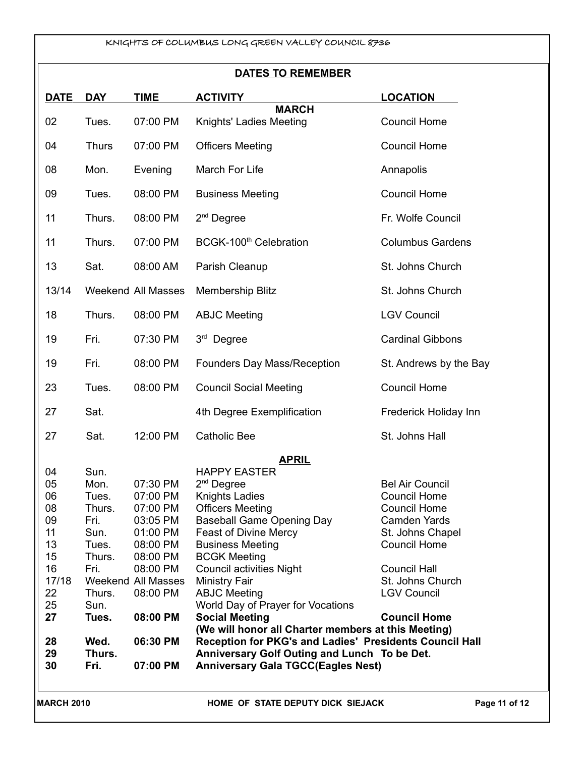## **DATES TO REMEMBER**

| <b>DATE</b>                                                                               | <b>DAY</b>                                                                                                              | <b>TIME</b>                                                                                                                                            | <b>ACTIVITY</b>                                                                                                                                                                                                                                                                                                                                                                                                                                                                                                                    | <b>LOCATION</b>                                                                                                                                                                                                                |
|-------------------------------------------------------------------------------------------|-------------------------------------------------------------------------------------------------------------------------|--------------------------------------------------------------------------------------------------------------------------------------------------------|------------------------------------------------------------------------------------------------------------------------------------------------------------------------------------------------------------------------------------------------------------------------------------------------------------------------------------------------------------------------------------------------------------------------------------------------------------------------------------------------------------------------------------|--------------------------------------------------------------------------------------------------------------------------------------------------------------------------------------------------------------------------------|
| 02                                                                                        | Tues.                                                                                                                   | 07:00 PM                                                                                                                                               | <b>MARCH</b><br>Knights' Ladies Meeting                                                                                                                                                                                                                                                                                                                                                                                                                                                                                            | <b>Council Home</b>                                                                                                                                                                                                            |
| 04                                                                                        | <b>Thurs</b>                                                                                                            | 07:00 PM                                                                                                                                               | <b>Officers Meeting</b>                                                                                                                                                                                                                                                                                                                                                                                                                                                                                                            | <b>Council Home</b>                                                                                                                                                                                                            |
| 08                                                                                        | Mon.                                                                                                                    | Evening                                                                                                                                                | March For Life                                                                                                                                                                                                                                                                                                                                                                                                                                                                                                                     | Annapolis                                                                                                                                                                                                                      |
| 09                                                                                        | Tues.                                                                                                                   | 08:00 PM                                                                                                                                               | <b>Business Meeting</b>                                                                                                                                                                                                                                                                                                                                                                                                                                                                                                            | <b>Council Home</b>                                                                                                                                                                                                            |
| 11                                                                                        | Thurs.                                                                                                                  | 08:00 PM                                                                                                                                               | $2nd$ Degree                                                                                                                                                                                                                                                                                                                                                                                                                                                                                                                       | Fr. Wolfe Council                                                                                                                                                                                                              |
| 11                                                                                        | Thurs.                                                                                                                  | 07:00 PM                                                                                                                                               | BCGK-100 <sup>th</sup> Celebration                                                                                                                                                                                                                                                                                                                                                                                                                                                                                                 | <b>Columbus Gardens</b>                                                                                                                                                                                                        |
| 13                                                                                        | Sat.                                                                                                                    | 08:00 AM                                                                                                                                               | Parish Cleanup                                                                                                                                                                                                                                                                                                                                                                                                                                                                                                                     | St. Johns Church                                                                                                                                                                                                               |
| 13/14                                                                                     |                                                                                                                         | <b>Weekend All Masses</b>                                                                                                                              | Membership Blitz                                                                                                                                                                                                                                                                                                                                                                                                                                                                                                                   | St. Johns Church                                                                                                                                                                                                               |
| 18                                                                                        | Thurs.                                                                                                                  | 08:00 PM                                                                                                                                               | <b>ABJC Meeting</b>                                                                                                                                                                                                                                                                                                                                                                                                                                                                                                                | <b>LGV Council</b>                                                                                                                                                                                                             |
| 19                                                                                        | Fri.                                                                                                                    | 07:30 PM                                                                                                                                               | 3rd Degree                                                                                                                                                                                                                                                                                                                                                                                                                                                                                                                         | <b>Cardinal Gibbons</b>                                                                                                                                                                                                        |
| 19                                                                                        | Fri.                                                                                                                    | 08:00 PM                                                                                                                                               | Founders Day Mass/Reception                                                                                                                                                                                                                                                                                                                                                                                                                                                                                                        | St. Andrews by the Bay                                                                                                                                                                                                         |
| 23                                                                                        | Tues.                                                                                                                   | 08:00 PM                                                                                                                                               | <b>Council Social Meeting</b>                                                                                                                                                                                                                                                                                                                                                                                                                                                                                                      | <b>Council Home</b>                                                                                                                                                                                                            |
| 27                                                                                        | Sat.                                                                                                                    |                                                                                                                                                        | 4th Degree Exemplification                                                                                                                                                                                                                                                                                                                                                                                                                                                                                                         | Frederick Holiday Inn                                                                                                                                                                                                          |
| 27                                                                                        | Sat.                                                                                                                    | 12:00 PM                                                                                                                                               | <b>Catholic Bee</b>                                                                                                                                                                                                                                                                                                                                                                                                                                                                                                                | St. Johns Hall                                                                                                                                                                                                                 |
|                                                                                           |                                                                                                                         |                                                                                                                                                        | <b>APRIL</b>                                                                                                                                                                                                                                                                                                                                                                                                                                                                                                                       |                                                                                                                                                                                                                                |
| 04<br>05<br>06<br>08<br>09<br>11<br>13<br>15<br>16<br>17/18<br>22<br>25<br>27<br>28<br>29 | Sun.<br>Mon.<br>Tues.<br>Thurs.<br>Fri.<br>Sun.<br>Tues.<br>Thurs.<br>Fri.<br>Thurs.<br>Sun.<br>Tues.<br>Wed.<br>Thurs. | 07:30 PM<br>07:00 PM<br>07:00 PM<br>03:05 PM<br>01:00 PM<br>08:00 PM<br>08:00 PM<br>08:00 PM<br>Weekend All Masses<br>08:00 PM<br>08:00 PM<br>06:30 PM | <b>HAPPY EASTER</b><br>2 <sup>nd</sup> Degree<br><b>Knights Ladies</b><br><b>Officers Meeting</b><br><b>Baseball Game Opening Day</b><br>Feast of Divine Mercy<br><b>Business Meeting</b><br><b>BCGK Meeting</b><br><b>Council activities Night</b><br><b>Ministry Fair</b><br><b>ABJC Meeting</b><br>World Day of Prayer for Vocations<br><b>Social Meeting</b><br>(We will honor all Charter members at this Meeting)<br>Reception for PKG's and Ladies' Presidents Council Hall<br>Anniversary Golf Outing and Lunch To be Det. | <b>Bel Air Council</b><br><b>Council Home</b><br><b>Council Home</b><br><b>Camden Yards</b><br>St. Johns Chapel<br><b>Council Home</b><br><b>Council Hall</b><br>St. Johns Church<br><b>LGV Council</b><br><b>Council Home</b> |
| 30                                                                                        | Fri.                                                                                                                    | 07:00 PM                                                                                                                                               | <b>Anniversary Gala TGCC(Eagles Nest)</b>                                                                                                                                                                                                                                                                                                                                                                                                                                                                                          |                                                                                                                                                                                                                                |
| <b>MARCH 2010</b>                                                                         |                                                                                                                         |                                                                                                                                                        | HOME OF STATE DEPUTY DICK SIEJACK                                                                                                                                                                                                                                                                                                                                                                                                                                                                                                  | Page 11 of 12                                                                                                                                                                                                                  |